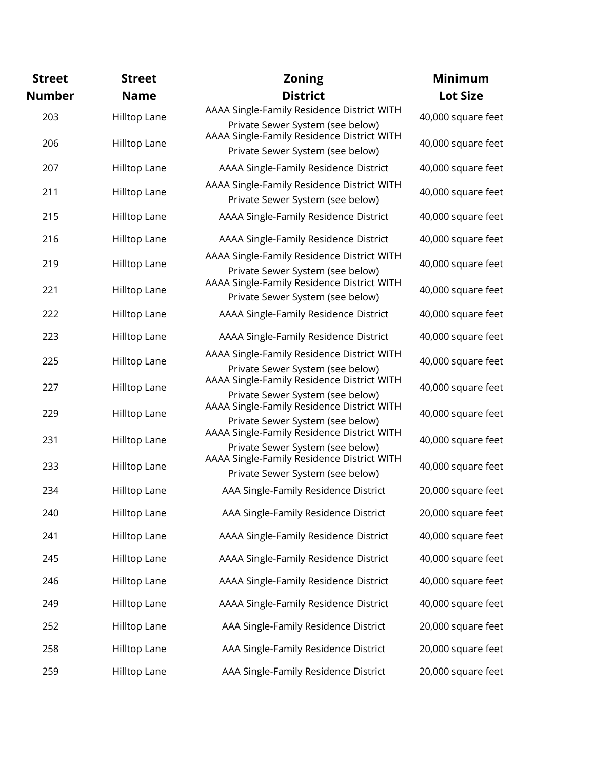| <b>Street</b> | <b>Street</b> | <b>Zoning</b>                                                                  | <b>Minimum</b>     |
|---------------|---------------|--------------------------------------------------------------------------------|--------------------|
| <b>Number</b> | <b>Name</b>   | <b>District</b>                                                                | <b>Lot Size</b>    |
| 203           | Hilltop Lane  | AAAA Single-Family Residence District WITH<br>Private Sewer System (see below) | 40,000 square feet |
| 206           | Hilltop Lane  | AAAA Single-Family Residence District WITH<br>Private Sewer System (see below) | 40,000 square feet |
| 207           | Hilltop Lane  | AAAA Single-Family Residence District                                          | 40,000 square feet |
| 211           | Hilltop Lane  | AAAA Single-Family Residence District WITH<br>Private Sewer System (see below) | 40,000 square feet |
| 215           | Hilltop Lane  | AAAA Single-Family Residence District                                          | 40,000 square feet |
| 216           | Hilltop Lane  | AAAA Single-Family Residence District                                          | 40,000 square feet |
| 219           | Hilltop Lane  | AAAA Single-Family Residence District WITH<br>Private Sewer System (see below) | 40,000 square feet |
| 221           | Hilltop Lane  | AAAA Single-Family Residence District WITH<br>Private Sewer System (see below) | 40,000 square feet |
| 222           | Hilltop Lane  | AAAA Single-Family Residence District                                          | 40,000 square feet |
| 223           | Hilltop Lane  | AAAA Single-Family Residence District                                          | 40,000 square feet |
| 225           | Hilltop Lane  | AAAA Single-Family Residence District WITH<br>Private Sewer System (see below) | 40,000 square feet |
| 227           | Hilltop Lane  | AAAA Single-Family Residence District WITH                                     | 40,000 square feet |
| 229           | Hilltop Lane  | Private Sewer System (see below)<br>AAAA Single-Family Residence District WITH | 40,000 square feet |
| 231           | Hilltop Lane  | Private Sewer System (see below)<br>AAAA Single-Family Residence District WITH | 40,000 square feet |
|               |               | Private Sewer System (see below)<br>AAAA Single-Family Residence District WITH |                    |
| 233           | Hilltop Lane  | Private Sewer System (see below)                                               | 40,000 square feet |
| 234           | Hilltop Lane  | AAA Single-Family Residence District                                           | 20,000 square feet |
| 240           | Hilltop Lane  | AAA Single-Family Residence District                                           | 20,000 square feet |
| 241           | Hilltop Lane  | AAAA Single-Family Residence District                                          | 40,000 square feet |
| 245           | Hilltop Lane  | AAAA Single-Family Residence District                                          | 40,000 square feet |
| 246           | Hilltop Lane  | AAAA Single-Family Residence District                                          | 40,000 square feet |
| 249           | Hilltop Lane  | AAAA Single-Family Residence District                                          | 40,000 square feet |
| 252           | Hilltop Lane  | AAA Single-Family Residence District                                           | 20,000 square feet |
| 258           | Hilltop Lane  | AAA Single-Family Residence District                                           | 20,000 square feet |
| 259           | Hilltop Lane  | AAA Single-Family Residence District                                           | 20,000 square feet |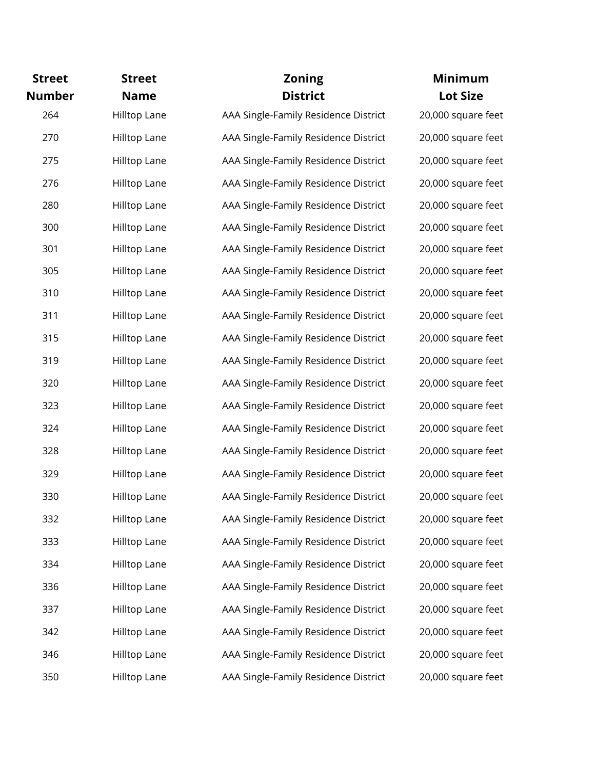| <b>Street</b> | <b>Street</b> | <b>Zoning</b>                        | Minimum            |
|---------------|---------------|--------------------------------------|--------------------|
| <b>Number</b> | <b>Name</b>   | <b>District</b>                      | <b>Lot Size</b>    |
| 264           | Hilltop Lane  | AAA Single-Family Residence District | 20,000 square feet |
| 270           | Hilltop Lane  | AAA Single-Family Residence District | 20,000 square feet |
| 275           | Hilltop Lane  | AAA Single-Family Residence District | 20,000 square feet |
| 276           | Hilltop Lane  | AAA Single-Family Residence District | 20,000 square feet |
| 280           | Hilltop Lane  | AAA Single-Family Residence District | 20,000 square feet |
| 300           | Hilltop Lane  | AAA Single-Family Residence District | 20,000 square feet |
| 301           | Hilltop Lane  | AAA Single-Family Residence District | 20,000 square feet |
| 305           | Hilltop Lane  | AAA Single-Family Residence District | 20,000 square feet |
| 310           | Hilltop Lane  | AAA Single-Family Residence District | 20,000 square feet |
| 311           | Hilltop Lane  | AAA Single-Family Residence District | 20,000 square feet |
| 315           | Hilltop Lane  | AAA Single-Family Residence District | 20,000 square feet |
| 319           | Hilltop Lane  | AAA Single-Family Residence District | 20,000 square feet |
| 320           | Hilltop Lane  | AAA Single-Family Residence District | 20,000 square feet |
| 323           | Hilltop Lane  | AAA Single-Family Residence District | 20,000 square feet |
| 324           | Hilltop Lane  | AAA Single-Family Residence District | 20,000 square feet |
| 328           | Hilltop Lane  | AAA Single-Family Residence District | 20,000 square feet |
| 329           | Hilltop Lane  | AAA Single-Family Residence District | 20,000 square feet |
| 330           | Hilltop Lane  | AAA Single-Family Residence District | 20,000 square feet |
| 332           | Hilltop Lane  | AAA Single-Family Residence District | 20,000 square feet |
| 333           | Hilltop Lane  | AAA Single-Family Residence District | 20,000 square feet |
| 334           | Hilltop Lane  | AAA Single-Family Residence District | 20,000 square feet |
| 336           | Hilltop Lane  | AAA Single-Family Residence District | 20,000 square feet |
| 337           | Hilltop Lane  | AAA Single-Family Residence District | 20,000 square feet |
| 342           | Hilltop Lane  | AAA Single-Family Residence District | 20,000 square feet |
| 346           | Hilltop Lane  | AAA Single-Family Residence District | 20,000 square feet |
| 350           | Hilltop Lane  | AAA Single-Family Residence District | 20,000 square feet |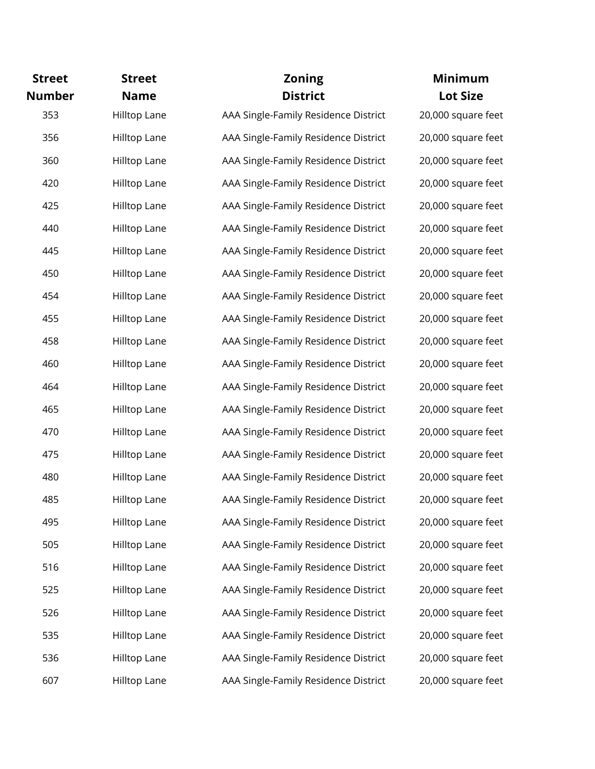| <b>Street</b> | <b>Street</b> | <b>Zoning</b>                        | <b>Minimum</b>     |
|---------------|---------------|--------------------------------------|--------------------|
| <b>Number</b> | <b>Name</b>   | <b>District</b>                      | <b>Lot Size</b>    |
| 353           | Hilltop Lane  | AAA Single-Family Residence District | 20,000 square feet |
| 356           | Hilltop Lane  | AAA Single-Family Residence District | 20,000 square feet |
| 360           | Hilltop Lane  | AAA Single-Family Residence District | 20,000 square feet |
| 420           | Hilltop Lane  | AAA Single-Family Residence District | 20,000 square feet |
| 425           | Hilltop Lane  | AAA Single-Family Residence District | 20,000 square feet |
| 440           | Hilltop Lane  | AAA Single-Family Residence District | 20,000 square feet |
| 445           | Hilltop Lane  | AAA Single-Family Residence District | 20,000 square feet |
| 450           | Hilltop Lane  | AAA Single-Family Residence District | 20,000 square feet |
| 454           | Hilltop Lane  | AAA Single-Family Residence District | 20,000 square feet |
| 455           | Hilltop Lane  | AAA Single-Family Residence District | 20,000 square feet |
| 458           | Hilltop Lane  | AAA Single-Family Residence District | 20,000 square feet |
| 460           | Hilltop Lane  | AAA Single-Family Residence District | 20,000 square feet |
| 464           | Hilltop Lane  | AAA Single-Family Residence District | 20,000 square feet |
| 465           | Hilltop Lane  | AAA Single-Family Residence District | 20,000 square feet |
| 470           | Hilltop Lane  | AAA Single-Family Residence District | 20,000 square feet |
| 475           | Hilltop Lane  | AAA Single-Family Residence District | 20,000 square feet |
| 480           | Hilltop Lane  | AAA Single-Family Residence District | 20,000 square feet |
| 485           | Hilltop Lane  | AAA Single-Family Residence District | 20,000 square feet |
| 495           | Hilltop Lane  | AAA Single-Family Residence District | 20,000 square feet |
| 505           | Hilltop Lane  | AAA Single-Family Residence District | 20,000 square feet |
| 516           | Hilltop Lane  | AAA Single-Family Residence District | 20,000 square feet |
| 525           | Hilltop Lane  | AAA Single-Family Residence District | 20,000 square feet |
| 526           | Hilltop Lane  | AAA Single-Family Residence District | 20,000 square feet |
| 535           | Hilltop Lane  | AAA Single-Family Residence District | 20,000 square feet |
| 536           | Hilltop Lane  | AAA Single-Family Residence District | 20,000 square feet |
| 607           | Hilltop Lane  | AAA Single-Family Residence District | 20,000 square feet |